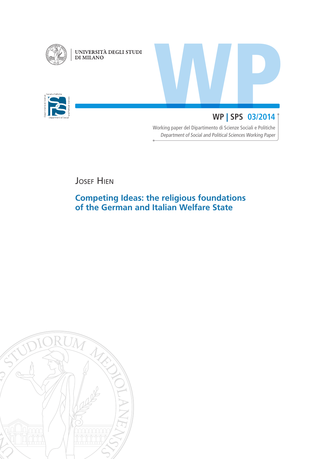

UNIVERSITÀ DEGLI STUDI DI MILANO



# WP | SPS 03/2014 **WP** | **SPS 03/2014**

Working paper del Dipartimento di Scienze Sociali e Politiche Department of Social and Political Sciences Working Paper

**JOSEF HIEN** 

# **Competing Ideas: the religious foundations of the German and Italian Welfare State**

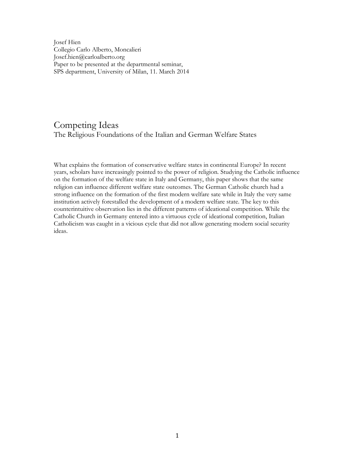Josef Hien Collegio Carlo Alberto, Moncalieri Josef.hien@carloalberto.org Paper to be presented at the departmental seminar, SPS department, University of Milan, 11. March 2014

## Competing Ideas The Religious Foundations of the Italian and German Welfare States

What explains the formation of conservative welfare states in continental Europe? In recent years, scholars have increasingly pointed to the power of religion. Studying the Catholic influence on the formation of the welfare state in Italy and Germany, this paper shows that the same religion can influence different welfare state outcomes. The German Catholic church had a strong influence on the formation of the first modern welfare sate while in Italy the very same institution actively forestalled the development of a modern welfare state. The key to this counterintuitive observation lies in the different patterns of ideational competition. While the Catholic Church in Germany entered into a virtuous cycle of ideational competition, Italian Catholicism was caught in a vicious cycle that did not allow generating modern social security ideas.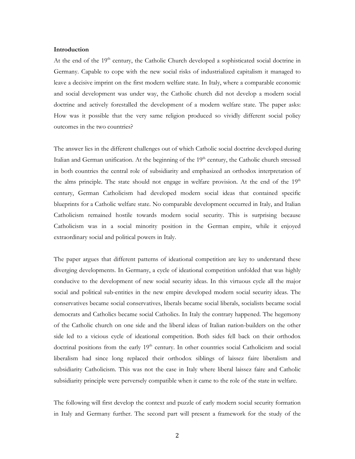### **Introduction**

At the end of the 19<sup>th</sup> century, the Catholic Church developed a sophisticated social doctrine in Germany. Capable to cope with the new social risks of industrialized capitalism it managed to leave a decisive imprint on the first modern welfare state. In Italy, where a comparable economic and social development was under way, the Catholic church did not develop a modern social doctrine and actively forestalled the development of a modern welfare state. The paper asks: How was it possible that the very same religion produced so vividly different social policy outcomes in the two countries?

The answer lies in the different challenges out of which Catholic social doctrine developed during Italian and German unification. At the beginning of the 19<sup>th</sup> century, the Catholic church stressed in both countries the central role of subsidiarity and emphasized an orthodox interpretation of the alms principle. The state should not engage in welfare provision. At the end of the  $19<sup>th</sup>$ century, German Catholicism had developed modern social ideas that contained specific blueprints for a Catholic welfare state. No comparable development occurred in Italy, and Italian Catholicism remained hostile towards modern social security. This is surprising because Catholicism was in a social minority position in the German empire, while it enjoyed extraordinary social and political powers in Italy.

The paper argues that different patterns of ideational competition are key to understand these diverging developments. In Germany, a cycle of ideational competition unfolded that was highly conducive to the development of new social security ideas. In this virtuous cycle all the major social and political sub-entities in the new empire developed modern social security ideas. The conservatives became social conservatives, liberals became social liberals, socialists became social democrats and Catholics became social Catholics. In Italy the contrary happened. The hegemony of the Catholic church on one side and the liberal ideas of Italian nation-builders on the other side led to a vicious cycle of ideational competition. Both sides fell back on their orthodox doctrinal positions from the early 19<sup>th</sup> century. In other countries social Catholicism and social liberalism had since long replaced their orthodox siblings of laissez faire liberalism and subsidiarity Catholicism. This was not the case in Italy where liberal laissez faire and Catholic subsidiarity principle were perversely compatible when it came to the role of the state in welfare.

The following will first develop the context and puzzle of early modern social security formation in Italy and Germany further. The second part will present a framework for the study of the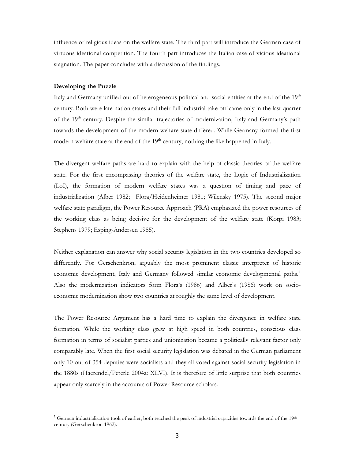influence of religious ideas on the welfare state. The third part will introduce the German case of virtuous ideational competition. The fourth part introduces the Italian case of vicious ideational stagnation. The paper concludes with a discussion of the findings.

### **Developing the Puzzle**

 $\overline{a}$ 

Italy and Germany unified out of heterogeneous political and social entities at the end of the 19<sup>th</sup> century. Both were late nation states and their full industrial take off came only in the last quarter of the 19<sup>th</sup> century. Despite the similar trajectories of modernization, Italy and Germany's path towards the development of the modern welfare state differed. While Germany formed the first modern welfare state at the end of the 19<sup>th</sup> century, nothing the like happened in Italy.

The divergent welfare paths are hard to explain with the help of classic theories of the welfare state. For the first encompassing theories of the welfare state, the Logic of Industrialization (LoI), the formation of modern welfare states was a question of timing and pace of industrialization (Alber 1982; Flora/Heidenheimer 1981; Wilensky 1975). The second major welfare state paradigm, the Power Resource Approach (PRA) emphasized the power resources of the working class as being decisive for the development of the welfare state (Korpi 1983; Stephens 1979; Esping-Andersen 1985).

Neither explanation can answer why social security legislation in the two countries developed so differently. For Gerschenkron, arguably the most prominent classic interpreter of historic economic development, Italy and Germany followed similar economic developmental paths.<sup>1</sup> Also the modernization indicators form Flora's (1986) and Alber's (1986) work on socioeconomic modernization show two countries at roughly the same level of development.

The Power Resource Argument has a hard time to explain the divergence in welfare state formation. While the working class grew at high speed in both countries, conscious class formation in terms of socialist parties and unionization became a politically relevant factor only comparably late. When the first social security legislation was debated in the German parliament only 10 out of 354 deputies were socialists and they all voted against social security legislation in the 1880s (Haerendel/Peterle 2004a: XLVI). It is therefore of little surprise that both countries appear only scarcely in the accounts of Power Resource scholars.

<sup>&</sup>lt;sup>1</sup> German industrialization took of earlier, both reached the peak of industrial capacities towards the end of the 19<sup>th</sup> century (Gerschenkron 1962).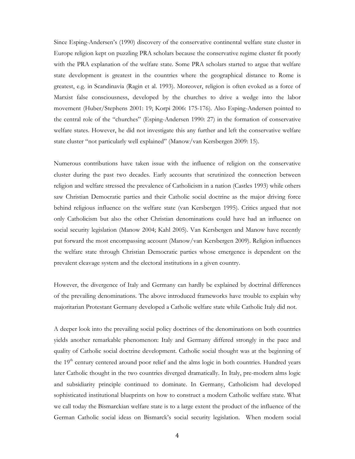Since Esping-Andersen's (1990) discovery of the conservative continental welfare state cluster in Europe religion kept on puzzling PRA scholars because the conservative regime cluster fit poorly with the PRA explanation of the welfare state. Some PRA scholars started to argue that welfare state development is greatest in the countries where the geographical distance to Rome is greatest, e.g. in Scandinavia (Ragin et al. 1993). Moreover, religion is often evoked as a force of Marxist false consciousness, developed by the churches to drive a wedge into the labor movement (Huber/Stephens 2001: 19; Korpi 2006: 175-176). Also Esping-Andersen pointed to the central role of the "churches" (Esping-Andersen 1990: 27) in the formation of conservative welfare states. However, he did not investigate this any further and left the conservative welfare state cluster "not particularly well explained" (Manow/van Kersbergen 2009: 15).

Numerous contributions have taken issue with the influence of religion on the conservative cluster during the past two decades. Early accounts that scrutinized the connection between religion and welfare stressed the prevalence of Catholicism in a nation (Castles 1993) while others saw Christian Democratic parties and their Catholic social doctrine as the major driving force behind religious influence on the welfare state (van Kersbergen 1995). Critics argued that not only Catholicism but also the other Christian denominations could have had an influence on social security legislation (Manow 2004; Kahl 2005). Van Kersbergen and Manow have recently put forward the most encompassing account (Manow/van Kersbergen 2009). Religion influences the welfare state through Christian Democratic parties whose emergence is dependent on the prevalent cleavage system and the electoral institutions in a given country.

However, the divergence of Italy and Germany can hardly be explained by doctrinal differences of the prevailing denominations. The above introduced frameworks have trouble to explain why majoritarian Protestant Germany developed a Catholic welfare state while Catholic Italy did not.

A deeper look into the prevailing social policy doctrines of the denominations on both countries yields another remarkable phenomenon: Italy and Germany differed strongly in the pace and quality of Catholic social doctrine development. Catholic social thought was at the beginning of the 19<sup>th</sup> century centered around poor relief and the alms logic in both countries. Hundred years later Catholic thought in the two countries diverged dramatically. In Italy, pre-modern alms logic and subsidiarity principle continued to dominate. In Germany, Catholicism had developed sophisticated institutional blueprints on how to construct a modern Catholic welfare state. What we call today the Bismarckian welfare state is to a large extent the product of the influence of the German Catholic social ideas on Bismarck's social security legislation. When modern social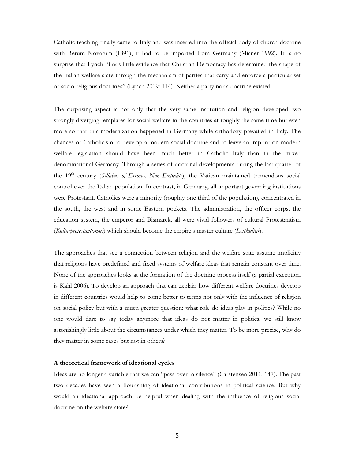Catholic teaching finally came to Italy and was inserted into the official body of church doctrine with Rerum Novarum (1891), it had to be imported from Germany (Misner 1992). It is no surprise that Lynch "finds little evidence that Christian Democracy has determined the shape of the Italian welfare state through the mechanism of parties that carry and enforce a particular set of socio-religious doctrines" (Lynch 2009: 114). Neither a party nor a doctrine existed.

The surprising aspect is not only that the very same institution and religion developed two strongly diverging templates for social welfare in the countries at roughly the same time but even more so that this modernization happened in Germany while orthodoxy prevailed in Italy. The chances of Catholicism to develop a modern social doctrine and to leave an imprint on modern welfare legislation should have been much better in Catholic Italy than in the mixed denominational Germany. Through a series of doctrinal developments during the last quarter of the 19<sup>th</sup> century (*Sillabus of Erroros, Non Expedite*), the Vatican maintained tremendous social control over the Italian population. In contrast, in Germany, all important governing institutions were Protestant. Catholics were a minority (roughly one third of the population), concentrated in the south, the west and in some Eastern pockets. The administration, the officer corps, the education system, the emperor and Bismarck, all were vivid followers of cultural Protestantism (*Kulturprotestantismus*) which should become the empire's master culture (*Leitkultur*).

The approaches that see a connection between religion and the welfare state assume implicitly that religions have predefined and fixed systems of welfare ideas that remain constant over time. None of the approaches looks at the formation of the doctrine process itself (a partial exception is Kahl 2006). To develop an approach that can explain how different welfare doctrines develop in different countries would help to come better to terms not only with the influence of religion on social policy but with a much greater question: what role do ideas play in politics? While no one would dare to say today anymore that ideas do not matter in politics, we still know astonishingly little about the circumstances under which they matter. To be more precise, why do they matter in some cases but not in others?

### **A theoretical framework of ideational cycles**

Ideas are no longer a variable that we can "pass over in silence" (Carstensen 2011: 147). The past two decades have seen a flourishing of ideational contributions in political science. But why would an ideational approach be helpful when dealing with the influence of religious social doctrine on the welfare state?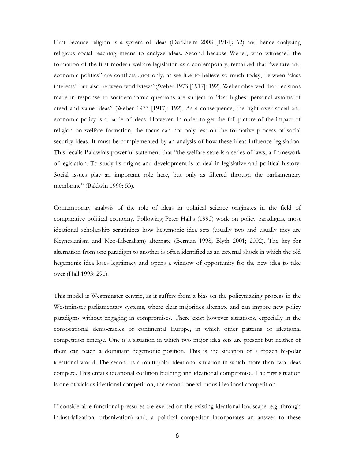First because religion is a system of ideas (Durkheim 2008 [1914]: 62) and hence analyzing religious social teaching means to analyze ideas. Second because Weber, who witnessed the formation of the first modern welfare legislation as a contemporary, remarked that "welfare and economic politics" are conflicts "not only, as we like to believe so much today, between 'class interests', but also between worldviews"(Weber 1973 [1917]: 192). Weber observed that decisions made in response to socioeconomic questions are subject to "last highest personal axioms of creed and value ideas" (Weber 1973 [1917]: 192). As a consequence, the fight over social and economic policy is a battle of ideas. However, in order to get the full picture of the impact of religion on welfare formation, the focus can not only rest on the formative process of social security ideas. It must be complemented by an analysis of how these ideas influence legislation. This recalls Baldwin's powerful statement that "the welfare state is a series of laws, a framework of legislation. To study its origins and development is to deal in legislative and political history. Social issues play an important role here, but only as filtered through the parliamentary membrane" (Baldwin 1990: 53).

Contemporary analysis of the role of ideas in political science originates in the field of comparative political economy. Following Peter Hall's (1993) work on policy paradigms, most ideational scholarship scrutinizes how hegemonic idea sets (usually two and usually they are Keynesianism and Neo-Liberalism) alternate (Berman 1998; Blyth 2001; 2002). The key for alternation from one paradigm to another is often identified as an external shock in which the old hegemonic idea loses legitimacy and opens a window of opportunity for the new idea to take over (Hall 1993: 291).

This model is Westminster centric, as it suffers from a bias on the policymaking process in the Westminster parliamentary systems, where clear majorities alternate and can impose new policy paradigms without engaging in compromises. There exist however situations, especially in the consocational democracies of continental Europe, in which other patterns of ideational competition emerge. One is a situation in which two major idea sets are present but neither of them can reach a dominant hegemonic position. This is the situation of a frozen bi-polar ideational world. The second is a multi-polar ideational situation in which more than two ideas compete. This entails ideational coalition building and ideational compromise. The first situation is one of vicious ideational competition, the second one virtuous ideational competition.

If considerable functional pressures are exerted on the existing ideational landscape (e.g. through industrialization, urbanization) and, a political competitor incorporates an answer to these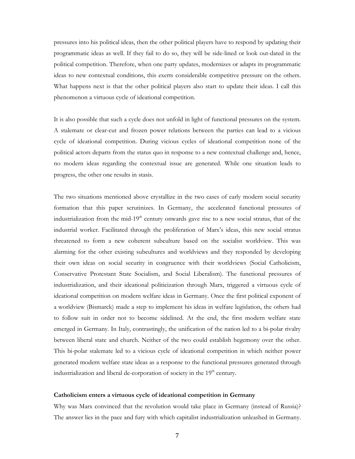pressures into his political ideas, then the other political players have to respond by updating their programmatic ideas as well. If they fail to do so, they will be side-lined or look out-dated in the political competition. Therefore, when one party updates, modernizes or adapts its programmatic ideas to new contextual conditions, this exerts considerable competitive pressure on the others. What happens next is that the other political players also start to update their ideas. I call this phenomenon a virtuous cycle of ideational competition.

It is also possible that such a cycle does not unfold in light of functional pressures on the system. A stalemate or clear-cut and frozen power relations between the parties can lead to a vicious cycle of ideational competition. During vicious cycles of ideational competition none of the political actors departs from the status quo in response to a new contextual challenge and, hence, no modern ideas regarding the contextual issue are generated. While one situation leads to progress, the other one results in stasis.

The two situations mentioned above crystallize in the two cases of early modern social security formation that this paper scrutinizes. In Germany, the accelerated functional pressures of industrialization from the mid-19<sup>th</sup> century onwards gave rise to a new social stratus, that of the industrial worker. Facilitated through the proliferation of Marx's ideas, this new social stratus threatened to form a new coherent subculture based on the socialist worldview. This was alarming for the other existing subcultures and worldviews and they responded by developing their own ideas on social security in congruence with their worldviews (Social Catholicism, Conservative Protestant State Socialism, and Social Liberalism). The functional pressures of industrialization, and their ideational politicization through Marx, triggered a virtuous cycle of ideational competition on modern welfare ideas in Germany. Once the first political exponent of a worldview (Bismarck) made a step to implement his ideas in welfare legislation, the others had to follow suit in order not to become sidelined. At the end, the first modern welfare state emerged in Germany. In Italy, contrastingly, the unification of the nation led to a bi-polar rivalry between liberal state and church. Neither of the two could establish hegemony over the other. This bi-polar stalemate led to a vicious cycle of ideational competition in which neither power generated modern welfare state ideas as a response to the functional pressures generated through industrialization and liberal de-corporation of society in the  $19<sup>th</sup>$  century.

### **Catholicism enters a virtuous cycle of ideational competition in Germany**

Why was Marx convinced that the revolution would take place in Germany (instead of Russia)? The answer lies in the pace and fury with which capitalist industrialization unleashed in Germany.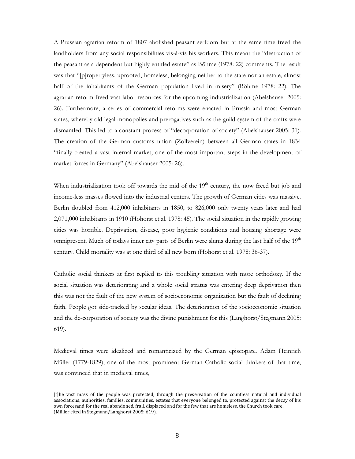A Prussian agrarian reform of 1807 abolished peasant serfdom but at the same time freed the landholders from any social responsibilities vis-à-vis his workers. This meant the "destruction of the peasant as a dependent but highly entitled estate" as Böhme (1978: 22) comments. The result was that "[p]ropertyless, uprooted, homeless, belonging neither to the state nor an estate, almost half of the inhabitants of the German population lived in misery" (Böhme 1978: 22). The agrarian reform freed vast labor resources for the upcoming industrialization (Abelshauser 2005: 26). Furthermore, a series of commercial reforms were enacted in Prussia and most German states, whereby old legal monopolies and prerogatives such as the guild system of the crafts were dismantled. This led to a constant process of "decorporation of society" (Abelshauser 2005: 31). The creation of the German customs union (Zollverein) between all German states in 1834 "finally created a vast internal market, one of the most important steps in the development of market forces in Germany" (Abelshauser 2005: 26).

When industrialization took off towards the mid of the 19<sup>th</sup> century, the now freed but job and income-less masses flowed into the industrial centers. The growth of German cities was massive. Berlin doubled from 412,000 inhabitants in 1850, to 826,000 only twenty years later and had 2,071,000 inhabitants in 1910 (Hohorst et al. 1978: 45). The social situation in the rapidly growing cities was horrible. Deprivation, disease, poor hygienic conditions and housing shortage were omnipresent. Much of todays inner city parts of Berlin were slums during the last half of the  $19<sup>th</sup>$ century. Child mortality was at one third of all new born (Hohorst et al. 1978: 36-37).

Catholic social thinkers at first replied to this troubling situation with more orthodoxy. If the social situation was deteriorating and a whole social stratus was entering deep deprivation then this was not the fault of the new system of socioeconomic organization but the fault of declining faith. People got side-tracked by secular ideas. The deterioration of the socioeconomic situation and the de-corporation of society was the divine punishment for this (Langhorst/Stegmann 2005: 619).

Medieval times were idealized and romanticized by the German episcopate. Adam Heinrich Müller (1779-1829), one of the most prominent German Catholic social thinkers of that time, was convinced that in medieval times,

<sup>[</sup>t]he vast mass of the people was protected, through the preservation of the countless natural and individual associations, authorities, families, communities, estates that everyone belonged to, protected against the decay of his own forcesand for the real abandoned, frail, displaced and for the few that are homeless, the Church took care. (Müller cited in Stegmann/Langhorst 2005: 619).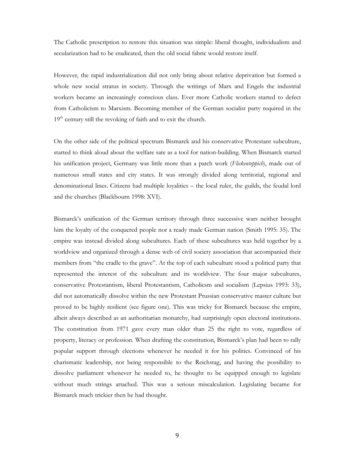The Catholic prescription to restore this situation was simple: liberal thought, individualism and secularization had to be eradicated, then the old social fabric would restore itself.

However, the rapid industrialization did not only bring about relative deprivation but formed a whole new social stratus in society. Through the writings of Marx and Engels the industrial workers became an increasingly conscious class. Ever more Catholic workers started to defect from Catholicism to Marxism. Becoming member of the German socialist party required in the  $19<sup>th</sup>$  century still the revoking of faith and to exit the church.

On the other side of the political spectrum Bismarck and his conservative Protestant subculture, started to think aloud about the welfare sate as a tool for nation-building. When Bismarck started his unification project, Germany was little more than a patch work (*Flickenteppich*), made out of numerous small states and city states. It was strongly divided along territorial, regional and denominational lines. Citizens had multiple loyalities – the local ruler, the guilds, the feudal lord and the churches (Blackbourn 1998: XVI).

Bismarck's unification of the German territory through three successive wars neither brought him the loyalty of the conquered people nor a ready made German nation (Smith 1995: 35). The empire was instead divided along subcultures. Each of these subcultures was held together by a worldview and organized through a dense web of civil society association that accompanied their members from "the cradle to the grave". At the top of each subculture stood a political party that represented the interest of the subculture and its worldview. The four major subcultures, conservative Protestantism, liberal Protestantism, Catholicsm and socialism (Lepsius 1993: 33), did not automatically dissolve within the new Protestant Prussian conservative master culture but proved to be highly resilient (see figure one). This was tricky for Bismarck because the empire, albeit always described as an authoritarian monarchy, had surprisingly open electoral institutions. The constitution from 1971 gave every man older than 25 the right to vote, regardless of property, literacy or profession. When drafting the constitution, Bismarck's plan had been to rally popular support through elections whenever he needed it for his politics. Convinced of his charismatic leadership, not being responsible to the Reichstag, and having the possibility to dissolve parliament whenever he needed to, he thought to be equipped enough to legislate without much strings attached. This was a serious miscalculation. Legislating became for Bismarck much trickier then he had thought.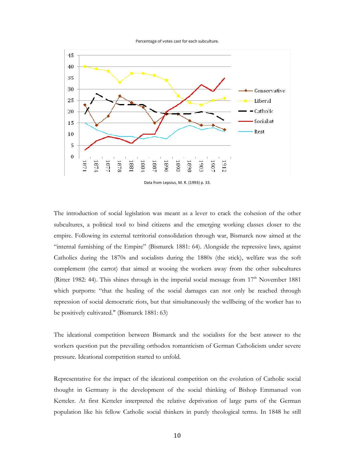Percentage of votes cast for each subculture.



Data from Lepsius, M. R. (1993) p. 33.

The introduction of social legislation was meant as a lever to crack the cohesion of the other subcultures, a political tool to bind citizens and the emerging working classes closer to the empire. Following its external territorial consolidation through war, Bismarck now aimed at the "internal furnishing of the Empire" (Bismarck 1881: 64). Alongside the repressive laws, against Catholics during the 1870s and socialists during the 1880s (the stick), welfare was the soft complement (the carrot) that aimed at wooing the workers away from the other subcultures (Ritter 1982: 44). This shines through in the imperial social message from  $17<sup>th</sup>$  November 1881 which purports: "that the healing of the social damages can not only be reached through repression of social democratic riots, but that simultaneously the wellbeing of the worker has to be positively cultivated." (Bismarck 1881: 63)

The ideational competition between Bismarck and the socialists for the best answer to the workers question put the prevailing orthodox romanticism of German Catholicism under severe pressure. Ideational competition started to unfold.

Representative for the impact of the ideational competition on the evolution of Catholic social thought in Germany is the development of the social thinking of Bishop Emmanuel von Ketteler. At first Ketteler interpreted the relative deprivation of large parts of the German population like his fellow Catholic social thinkers in purely theological terms. In 1848 he still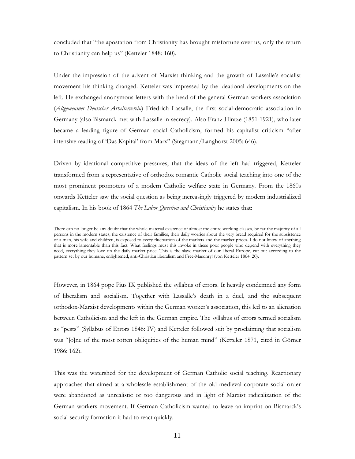concluded that "the apostation from Christianity has brought misfortune over us, only the return to Christianity can help us" (Ketteler 1848: 160).

Under the impression of the advent of Marxist thinking and the growth of Lassalle's socialist movement his thinking changed. Ketteler was impressed by the ideational developments on the left. He exchanged anonymous letters with the head of the general German workers association (*Allgemeniner Deutscher Arbeiterverein*) Friedrich Lassalle, the first social-democratic association in Germany (also Bismarck met with Lassalle in secrecy). Also Franz Hintze (1851-1921), who later became a leading figure of German social Catholicism, formed his capitalist criticism "after intensive reading of 'Das Kapital' from Marx" (Stegmann/Langhorst 2005: 646).

Driven by ideational competitive pressures, that the ideas of the left had triggered, Ketteler transformed from a representative of orthodox romantic Catholic social teaching into one of the most prominent promoters of a modern Catholic welfare state in Germany. From the 1860s onwards Ketteler saw the social question as being increasingly triggered by modern industrialized capitalism. In his book of 1864 *The Labor Question and Christianity* he states that:

However, in 1864 pope Pius IX published the syllabus of errors. It heavily condemned any form of liberalism and socialism. Together with Lassalle's death in a duel, and the subsequent orthodox-Marxist developments within the German worker's association, this led to an alienation between Catholicism and the left in the German empire. The syllabus of errors termed socialism as "pests" (Syllabus of Errors 1846: IV) and Ketteler followed suit by proclaiming that socialism was "[o]ne of the most rotten obliquities of the human mind" (Ketteler 1871, cited in Görner 1986: 162).

This was the watershed for the development of German Catholic social teaching. Reactionary approaches that aimed at a wholesale establishment of the old medieval corporate social order were abandoned as unrealistic or too dangerous and in light of Marxist radicalization of the German workers movement. If German Catholicism wanted to leave an imprint on Bismarck's social security formation it had to react quickly.

There can no longer be any doubt that the whole material existence of almost the entire working classes, by far the majority of all persons in the modern states, the existence of their families, their daily worries about the very bread required for the subsistence of a man, his wife and children, is exposed to every fluctuation of the markets and the market prices. I do not know of anything that is more lamentable than this fact. What feelings must this invoke in these poor people who depend with everything they need, everything they love on the daily market price! This is the slave market of our liberal Europe, cut out according to the pattern set by our humane, enlightened, anti-Christian liberalism and Free-Masonry! (von Ketteler 1864: 20).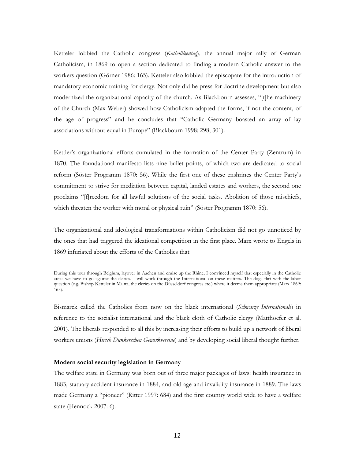Ketteler lobbied the Catholic congress (*Katholikentag*), the annual major rally of German Catholicism, in 1869 to open a section dedicated to finding a modern Catholic answer to the workers question (Görner 1986: 165). Ketteler also lobbied the episcopate for the introduction of mandatory economic training for clergy. Not only did he press for doctrine development but also modernized the organizational capacity of the church. As Blackbourn assesses, "[t]he machinery of the Church (Max Weber) showed how Catholicism adapted the forms, if not the content, of the age of progress" and he concludes that "Catholic Germany boasted an array of lay associations without equal in Europe" (Blackbourn 1998: 298; 301).

Kettler's organizational efforts cumulated in the formation of the Center Party (Zentrum) in 1870. The foundational manifesto lists nine bullet points, of which two are dedicated to social reform (Söster Programm 1870: 56). While the first one of these enshrines the Center Party's commitment to strive for mediation between capital, landed estates and workers, the second one proclaims "[f]reedom for all lawful solutions of the social tasks. Abolition of those mischiefs, which threaten the worker with moral or physical ruin" (Söster Programm 1870: 56).

The organizational and ideological transformations within Catholicism did not go unnoticed by the ones that had triggered the ideational competition in the first place. Marx wrote to Engels in 1869 infuriated about the efforts of the Catholics that

Bismarck called the Catholics from now on the black international (*Schwarze Internationale*) in reference to the socialist international and the black cloth of Catholic clergy (Matthoefer et al. 2001). The liberals responded to all this by increasing their efforts to build up a network of liberal workers unions (*Hirsch Dunkerschen Gewerkvereine*) and by developing social liberal thought further.

### **Modern social security legislation in Germany**

The welfare state in Germany was born out of three major packages of laws: health insurance in 1883, statuary accident insurance in 1884, and old age and invalidity insurance in 1889. The laws made Germany a "pioneer" (Ritter 1997: 684) and the first country world wide to have a welfare state (Hennock 2007: 6).

During this tour through Belgium, layover in Aachen and cruise up the Rhine, I convinced myself that especially in the Catholic areas we have to go against the clerics. I will work through the International on these matters. The dogs flirt with the labor question (e.g. Bishop Ketteler in Mainz, the clerics on the Düsseldorf congress etc.) where it deems them appropriate (Marx 1869: 165).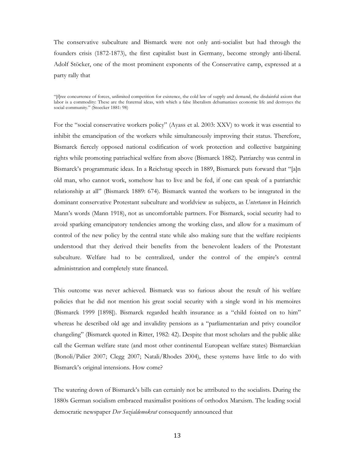The conservative subculture and Bismarck were not only anti-socialist but had through the founders crisis (1872-1873), the first capitalist bust in Germany, become strongly anti-liberal. Adolf Stöcker, one of the most prominent exponents of the Conservative camp, expressed at a party rally that

"[f]ree concurrence of forces, unlimited competition for existence, the cold law of supply and demand, the disdainful axiom that labor is a commodity: These are the fraternal ideas, with which a false liberalism dehumanizes economic life and destroyes the social community." (Stoecker 1881: 98)

For the "social conservative workers policy" (Ayass et al. 2003: XXV) to work it was essential to inhibit the emancipation of the workers while simultaneously improving their status. Therefore, Bismarck fiercely opposed national codification of work protection and collective bargaining rights while promoting patriachical welfare from above (Bismarck 1882). Patriarchy was central in Bismarck's programmatic ideas. In a Reichstag speech in 1889, Bismarck puts forward that "[a]n old man, who cannot work, somehow has to live and be fed, if one can speak of a patriarchic relationship at all" (Bismarck 1889: 674). Bismarck wanted the workers to be integrated in the dominant conservative Protestant subculture and worldview as subjects, as *Untertanen* in Heinrich Mann's words (Mann 1918), not as uncomfortable partners. For Bismarck, social security had to avoid sparking emancipatory tendencies among the working class, and allow for a maximum of control of the new policy by the central state while also making sure that the welfare recipients understood that they derived their benefits from the benevolent leaders of the Protestant subculture. Welfare had to be centralized, under the control of the empire's central administration and completely state financed.

This outcome was never achieved. Bismarck was so furious about the result of his welfare policies that he did not mention his great social security with a single word in his memoires (Bismarck 1999 [1898]). Bismarck regarded health insurance as a "child foisted on to him" whereas he described old age and invalidity pensions as a "parliamentarian and privy councilor changeling" (Bismarck quoted in Ritter, 1982: 42). Despite that most scholars and the public alike call the German welfare state (and most other continental European welfare states) Bismarckian (Bonoli/Palier 2007; Clegg 2007; Natali/Rhodes 2004), these systems have little to do with Bismarck's original intensions. How come?

The watering down of Bismarck's bills can certainly not be attributed to the socialists. During the 1880s German socialism embraced maximalist positions of orthodox Marxism. The leading social democratic newspaper *Der Sozialdemokrat* consequently announced that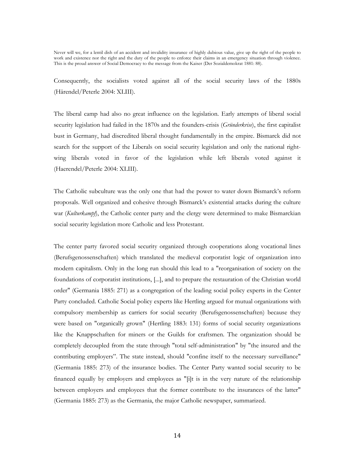Never will we, for a lentil dish of an accident and invalidity insurance of highly dubious value, give up the right of the people to work and existence nor the right and the duty of the people to enforce their claims in an emergency situation through violence. This is the proud answer of Social Democracy to the message from the Kaiser (Der Sozialdemokrat 1881: 88).

Consequently, the socialists voted against all of the social security laws of the 1880s (Härendel/Peterle 2004: XLIII).

The liberal camp had also no great influence on the legislation. Early attempts of liberal social security legislation had failed in the 1870s and the founders-crisis (*Gründerkrise*), the first capitalist bust in Germany, had discredited liberal thought fundamentally in the empire. Bismarck did not search for the support of the Liberals on social security legislation and only the national rightwing liberals voted in favor of the legislation while left liberals voted against it (Haerendel/Peterle 2004: XLIII).

The Catholic subculture was the only one that had the power to water down Bismarck's reform proposals. Well organized and cohesive through Bismarck's existential attacks during the culture war (*Kulturkampf*), the Catholic center party and the clergy were determined to make Bismarckian social security legislation more Catholic and less Protestant.

The center party favored social security organized through cooperations along vocational lines (Berufsgenossenschaften) which translated the medieval corporatist logic of organization into modern capitalism. Only in the long run should this lead to a "reorganisation of society on the foundations of corporatist institutions, [...], and to prepare the restauration of the Christian world order" (Germania 1885: 271) as a congregation of the leading social policy experts in the Center Party concluded. Catholic Social policy experts like Hertling argued for mutual organizations with compulsory membership as carriers for social security (Berufsgenossenschaften) because they were based on "organically grown" (Hertling 1883: 131) forms of social security organizations like the Knappschaften for miners or the Guilds for craftsmen. The organization should be completely decoupled from the state through "total self-administration" by "the insured and the contributing employers". The state instead, should "confine itself to the necessary surveillance" (Germania 1885: 273) of the insurance bodies. The Center Party wanted social security to be financed equally by employers and employees as "[i]t is in the very nature of the relationship between employers and employees that the former contribute to the insurances of the latter" (Germania 1885: 273) as the Germania, the major Catholic newspaper, summarized.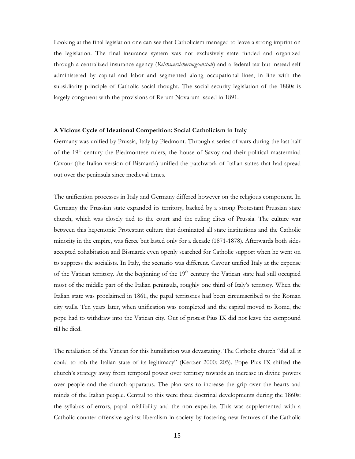Looking at the final legislation one can see that Catholicism managed to leave a strong imprint on the legislation. The final insurance system was not exclusively state funded and organized through a centralized insurance agency (*Reichsversicherungsanstalt*) and a federal tax but instead self administered by capital and labor and segmented along occupational lines, in line with the subsidiarity principle of Catholic social thought. The social security legislation of the 1880s is largely congruent with the provisions of Rerum Novarum issued in 1891.

### **A Vicious Cycle of Ideational Competition: Social Catholicism in Italy**

Germany was unified by Prussia, Italy by Piedmont. Through a series of wars during the last half of the 19<sup>th</sup> century the Piedmontese rulers, the house of Savoy and their political mastermind Cavour (the Italian version of Bismarck) unified the patchwork of Italian states that had spread out over the peninsula since medieval times.

The unification processes in Italy and Germany differed however on the religious component. In Germany the Prussian state expanded its territory, backed by a strong Protestant Prussian state church, which was closely tied to the court and the ruling elites of Prussia. The culture war between this hegemonic Protestant culture that dominated all state institutions and the Catholic minority in the empire, was fierce but lasted only for a decade (1871-1878). Afterwards both sides accepted cohabitation and Bismarck even openly searched for Catholic support when he went on to suppress the socialists. In Italy, the scenario was different. Cavour unified Italy at the expense of the Vatican territory. At the beginning of the 19<sup>th</sup> century the Vatican state had still occupied most of the middle part of the Italian peninsula, roughly one third of Italy's territory. When the Italian state was proclaimed in 1861, the papal territories had been circumscribed to the Roman city walls. Ten years later, when unification was completed and the capital moved to Rome, the pope had to withdraw into the Vatican city. Out of protest Pius IX did not leave the compound till he died.

The retaliation of the Vatican for this humiliation was devastating. The Catholic church "did all it could to rob the Italian state of its legitimacy" (Kertzer 2000: 205). Pope Pius IX shifted the church's strategy away from temporal power over territory towards an increase in divine powers over people and the church apparatus. The plan was to increase the grip over the hearts and minds of the Italian people. Central to this were three doctrinal developments during the 1860s: the syllabus of errors, papal infallibility and the non expedite. This was supplemented with a Catholic counter-offensive against liberalism in society by fostering new features of the Catholic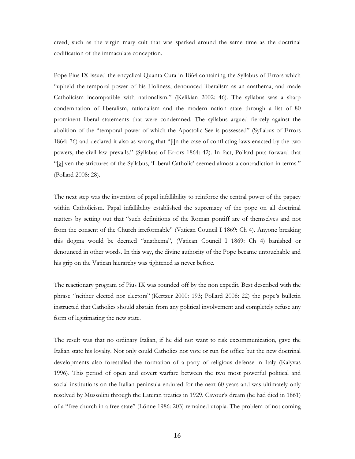creed, such as the virgin mary cult that was sparked around the same time as the doctrinal codification of the immaculate conception.

Pope Pius IX issued the encyclical Quanta Cura in 1864 containing the Syllabus of Errors which "upheld the temporal power of his Holiness, denounced liberalism as an anathema, and made Catholicism incompatible with nationalism." (Kelikian 2002: 46). The syllabus was a sharp condemnation of liberalism, rationalism and the modern nation state through a list of 80 prominent liberal statements that were condemned. The syllabus argued fiercely against the abolition of the "temporal power of which the Apostolic See is possessed" (Syllabus of Errors 1864: 76) and declared it also as wrong that "[i]n the case of conflicting laws enacted by the two powers, the civil law prevails." (Syllabus of Errors 1864: 42). In fact, Pollard puts forward that "[g]iven the strictures of the Syllabus, 'Liberal Catholic' seemed almost a contradiction in terms." (Pollard 2008: 28).

The next step was the invention of papal infallibility to reinforce the central power of the papacy within Catholicism. Papal infallibility established the supremacy of the pope on all doctrinal matters by setting out that "such definitions of the Roman pontiff are of themselves and not from the consent of the Church irreformable" (Vatican Council I 1869: Ch 4). Anyone breaking this dogma would be deemed "anathema", (Vatican Council I 1869: Ch 4) banished or denounced in other words. In this way, the divine authority of the Pope became untouchable and his grip on the Vatican hierarchy was tightened as never before.

The reactionary program of Pius IX was rounded off by the non expedit. Best described with the phrase "neither elected nor electors" (Kertzer 2000: 193; Pollard 2008: 22) the pope's bulletin instructed that Catholics should abstain from any political involvement and completely refuse any form of legitimating the new state.

The result was that no ordinary Italian, if he did not want to risk excommunication, gave the Italian state his loyalty. Not only could Catholics not vote or run for office but the new doctrinal developments also forestalled the formation of a party of religious defense in Italy (Kalyvas 1996). This period of open and covert warfare between the two most powerful political and social institutions on the Italian peninsula endured for the next 60 years and was ultimately only resolved by Mussolini through the Lateran treaties in 1929. Cavour's dream (he had died in 1861) of a "free church in a free state" (Lönne 1986: 203) remained utopia. The problem of not coming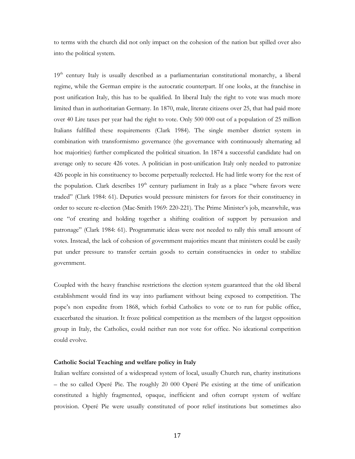to terms with the church did not only impact on the cohesion of the nation but spilled over also into the political system.

 $19<sup>th</sup>$  century Italy is usually described as a parliamentarian constitutional monarchy, a liberal regime, while the German empire is the autocratic counterpart. If one looks, at the franchise in post unification Italy, this has to be qualified. In liberal Italy the right to vote was much more limited than in authoritarian Germany. In 1870, male, literate citizens over 25, that had paid more over 40 Lire taxes per year had the right to vote. Only 500 000 out of a population of 25 million Italians fulfilled these requirements (Clark 1984). The single member district system in combination with transformismo governance (the governance with continuously alternating ad hoc majorities) further complicated the political situation. In 1874 a successful candidate had on average only to secure 426 votes. A politician in post-unification Italy only needed to patronize 426 people in his constituency to become perpetually reelected. He had little worry for the rest of the population. Clark describes  $19<sup>th</sup>$  century parliament in Italy as a place "where favors were traded" (Clark 1984: 61). Deputies would pressure ministers for favors for their constituency in order to secure re-election (Mac-Smith 1969: 220-221). The Prime Minister's job, meanwhile, was one "of creating and holding together a shifting coalition of support by persuasion and patronage" (Clark 1984: 61). Programmatic ideas were not needed to rally this small amount of votes. Instead, the lack of cohesion of government majorities meant that ministers could be easily put under pressure to transfer certain goods to certain constituencies in order to stabilize government.

Coupled with the heavy franchise restrictions the election system guaranteed that the old liberal establishment would find its way into parliament without being exposed to competition. The pope's non expedite from 1868, which forbid Catholics to vote or to run for public office, exacerbated the situation. It froze political competition as the members of the largest opposition group in Italy, the Catholics, could neither run nor vote for office. No ideational competition could evolve.

### **Catholic Social Teaching and welfare policy in Italy**

Italian welfare consisted of a widespread system of local, usually Church run, charity institutions – the so called Operé Pie. The roughly 20 000 Operé Pie existing at the time of unification constituted a highly fragmented, opaque, inefficient and often corrupt system of welfare provision. Operé Pie were usually constituted of poor relief institutions but sometimes also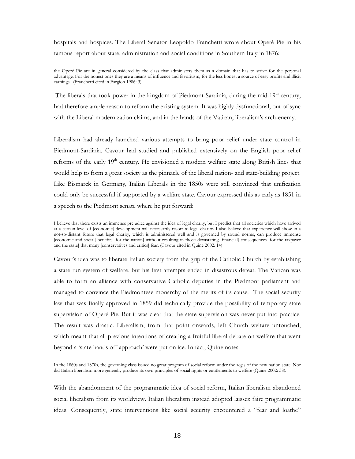hospitals and hospices. The Liberal Senator Leopoldo Franchetti wrote about Operé Pie in his famous report about state, administration and social conditions in Southern Italy in 1876:

the Operé Pie are in general considered by the class that administers them as a domain that has to strive for the personal advantage. For the honest ones they are a means of influence and favoritism, for the less honest a source of easy profits and illicit earnings. (Franchetti cited in Fargion 1986: 3)

The liberals that took power in the kingdom of Piedmont-Sardinia, during the mid-19<sup>th</sup> century, had therefore ample reason to reform the existing system. It was highly dysfunctional, out of sync with the Liberal modernization claims, and in the hands of the Vatican, liberalism's arch-enemy.

Liberalism had already launched various attempts to bring poor relief under state control in Piedmont-Sardinia. Cavour had studied and published extensively on the English poor relief reforms of the early 19<sup>th</sup> century. He envisioned a modern welfare state along British lines that would help to form a great society as the pinnacle of the liberal nation- and state-building project. Like Bismarck in Germany, Italian Liberals in the 1850s were still convinced that unification could only be successful if supported by a welfare state. Cavour expressed this as early as 1851 in a speech to the Piedmont senate where he put forward:

Cavour's idea was to liberate Italian society from the grip of the Catholic Church by establishing a state run system of welfare, but his first attempts ended in disastrous defeat. The Vatican was able to form an alliance with conservative Catholic deputies in the Piedmont parliament and managed to convince the Piedmontese monarchy of the merits of its cause. The social security law that was finally approved in 1859 did technically provide the possibility of temporary state supervision of Operé Pie. But it was clear that the state supervision was never put into practice. The result was drastic. Liberalism, from that point onwards, left Church welfare untouched, which meant that all previous intentions of creating a fruitful liberal debate on welfare that went beyond a 'state hands off approach' were put on ice. In fact, Quine notes:

In the 1860s and 1870s, the governing class issued no great program of social reform under the aegis of the new nation state. Nor did Italian liberalism more generally produce its own principles of social rights or entitlements to welfare (Quine 2002: 38).

With the abandonment of the programmatic idea of social reform, Italian liberalism abandoned social liberalism from its worldview. Italian liberalism instead adopted laissez faire programmatic ideas. Consequently, state interventions like social security encountered a "fear and loathe"

I believe that there exists an immense prejudice against the idea of legal charity, but I predict that all societies which have arrived at a certain level of [economic] development will necessarily resort to legal charity. I also believe that experience will show in a not-so-distant future that legal charity, which is administered well and is governed by sound norms, can produce immense [economic and social] benefits [for the nation] without resulting in those devastating [financial] consequences [for the taxpayer and the state] that many [conservatives and critics] fear. (Cavour cited in Quine 2002: 14)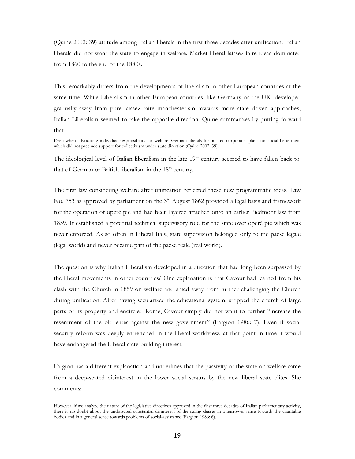(Quine 2002: 39) attitude among Italian liberals in the first three decades after unification. Italian liberals did not want the state to engage in welfare. Market liberal laissez-faire ideas dominated from 1860 to the end of the 1880s.

This remarkably differs from the developments of liberalism in other European countries at the same time. While Liberalism in other European countries, like Germany or the UK, developed gradually away from pure laissez faire manchesterism towards more state driven approaches, Italian Liberalism seemed to take the opposite direction. Quine summarizes by putting forward that

The ideological level of Italian liberalism in the late  $19<sup>th</sup>$  century seemed to have fallen back to that of German or British liberalism in the  $18<sup>th</sup>$  century.

The first law considering welfare after unification reflected these new programmatic ideas. Law No. 753 as approved by parliament on the 3<sup>rd</sup> August 1862 provided a legal basis and framework for the operation of operé pie and had been layered attached onto an earlier Piedmont law from 1859. It established a potential technical supervisory role for the state over operé pie which was never enforced. As so often in Liberal Italy, state supervision belonged only to the paese legale (legal world) and never became part of the paese reale (real world).

The question is why Italian Liberalism developed in a direction that had long been surpassed by the liberal movements in other countries? One explanation is that Cavour had learned from his clash with the Church in 1859 on welfare and shied away from further challenging the Church during unification. After having secularized the educational system, stripped the church of large parts of its property and encircled Rome, Cavour simply did not want to further "increase the resentment of the old elites against the new government" (Fargion 1986: 7). Even if social security reform was deeply entrenched in the liberal worldview, at that point in time it would have endangered the Liberal state-building interest.

Fargion has a different explanation and underlines that the passivity of the state on welfare came from a deep-seated disinterest in the lower social stratus by the new liberal state elites. She comments:

Even when advocating individual responsibility for welfare, German liberals formulated corporatist plans for social betterment which did not preclude support for collectivism under state direction (Quine 2002: 39).

However, if we analyze the nature of the legislative directives approved in the first three decades of Italian parliamentary activity, there is no doubt about the undisputed substantial disinterest of the ruling classes in a narrower sense towards the charitable bodies and in a general sense towards problems of social-assistance (Fargion 1986: 6).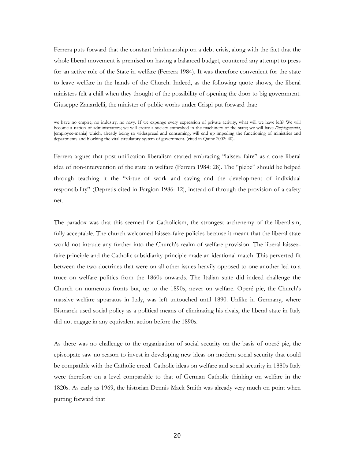Ferrera puts forward that the constant brinkmanship on a debt crisis, along with the fact that the whole liberal movement is premised on having a balanced budget, countered any attempt to press for an active role of the State in welfare (Ferrera 1984). It was therefore convenient for the state to leave welfare in the hands of the Church. Indeed, as the following quote shows, the liberal ministers felt a chill when they thought of the possibility of opening the door to big government. Giuseppe Zanardelli, the minister of public works under Crispi put forward that:

we have no empire, no industry, no navy. If we expunge every expression of private activity, what will we have left? We will become a nation of administrators; we will create a society enmeshed in the machinery of the state; we will have *l'impiegomania*, [employee-mania] which, already being so widespread and consuming, will end up impeding the functioning of ministries and departments and blocking the vital circulatory system of government. (cited in Quine 2002: 40).

Ferrera argues that post-unification liberalism started embracing "laissez faire" as a core liberal idea of non-intervention of the state in welfare (Ferrera 1984: 28). The "plebe" should be helped through teaching it the "virtue of work and saving and the development of individual responsibility" (Depretis cited in Fargion 1986: 12), instead of through the provision of a safety net.

The paradox was that this seemed for Catholicism, the strongest archenemy of the liberalism, fully acceptable. The church welcomed laissez-faire policies because it meant that the liberal state would not intrude any further into the Church's realm of welfare provision. The liberal laissezfaire principle and the Catholic subsidiarity principle made an ideational match. This perverted fit between the two doctrines that were on all other issues heavily opposed to one another led to a truce on welfare politics from the 1860s onwards. The Italian state did indeed challenge the Church on numerous fronts but, up to the 1890s, never on welfare. Operé pie, the Church's massive welfare apparatus in Italy, was left untouched until 1890. Unlike in Germany, where Bismarck used social policy as a political means of eliminating his rivals, the liberal state in Italy did not engage in any equivalent action before the 1890s.

As there was no challenge to the organization of social security on the basis of operé pie, the episcopate saw no reason to invest in developing new ideas on modern social security that could be compatible with the Catholic creed. Catholic ideas on welfare and social security in 1880s Italy were therefore on a level comparable to that of German Catholic thinking on welfare in the 1820s. As early as 1969, the historian Dennis Mack Smith was already very much on point when putting forward that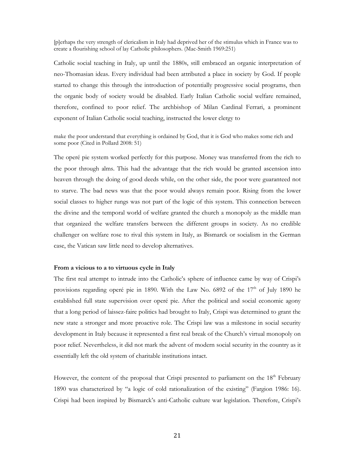[p]erhaps the very strength of clericalism in Italy had deprived her of the stimulus which in France was to create a flourishing school of lay Catholic philosophers. (Mac-Smith 1969:251)

Catholic social teaching in Italy, up until the 1880s, still embraced an organic interpretation of neo-Thomasian ideas. Every individual had been attributed a place in society by God. If people started to change this through the introduction of potentially progressive social programs, then the organic body of society would be disabled. Early Italian Catholic social welfare remained, therefore, confined to poor relief. The archbishop of Milan Cardinal Ferrari, a prominent exponent of Italian Catholic social teaching, instructed the lower clergy to

make the poor understand that everything is ordained by God, that it is God who makes some rich and some poor (Cited in Pollard 2008: 51)

The operé pie system worked perfectly for this purpose. Money was transferred from the rich to the poor through alms. This had the advantage that the rich would be granted ascension into heaven through the doing of good deeds while, on the other side, the poor were guaranteed not to starve. The bad news was that the poor would always remain poor. Rising from the lower social classes to higher rungs was not part of the logic of this system. This connection between the divine and the temporal world of welfare granted the church a monopoly as the middle man that organized the welfare transfers between the different groups in society. As no credible challenger on welfare rose to rival this system in Italy, as Bismarck or socialism in the German case, the Vatican saw little need to develop alternatives.

### **From a vicious to a to virtuous cycle in Italy**

The first real attempt to intrude into the Catholic's sphere of influence came by way of Crispi's provisions regarding operé pie in 1890. With the Law No. 6892 of the 17<sup>th</sup> of July 1890 he established full state supervision over operé pie. After the political and social economic agony that a long period of laissez-faire politics had brought to Italy, Crispi was determined to grant the new state a stronger and more proactive role. The Crispi law was a milestone in social security development in Italy because it represented a first real break of the Church's virtual monopoly on poor relief. Nevertheless, it did not mark the advent of modern social security in the country as it essentially left the old system of charitable institutions intact.

However, the content of the proposal that Crispi presented to parliament on the 18<sup>th</sup> February 1890 was characterized by "a logic of cold rationalization of the existing" (Fargion 1986: 16). Crispi had been inspired by Bismarck's anti-Catholic culture war legislation. Therefore, Crispi's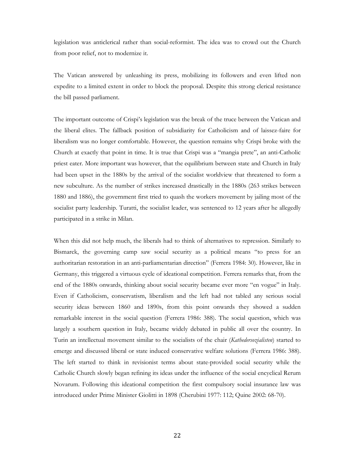legislation was anticlerical rather than social-reformist. The idea was to crowd out the Church from poor relief, not to modernize it.

The Vatican answered by unleashing its press, mobilizing its followers and even lifted non expedite to a limited extent in order to block the proposal. Despite this strong clerical resistance the bill passed parliament.

The important outcome of Crispi's legislation was the break of the truce between the Vatican and the liberal elites. The fallback position of subsidiarity for Catholicism and of laissez-faire for liberalism was no longer comfortable. However, the question remains why Crispi broke with the Church at exactly that point in time. It is true that Crispi was a "mangia prete", an anti-Catholic priest eater. More important was however, that the equilibrium between state and Church in Italy had been upset in the 1880s by the arrival of the socialist worldview that threatened to form a new subculture. As the number of strikes increased drastically in the 1880s (263 strikes between 1880 and 1886), the government first tried to quash the workers movement by jailing most of the socialist party leadership. Turatti, the socialist leader, was sentenced to 12 years after he allegedly participated in a strike in Milan.

When this did not help much, the liberals had to think of alternatives to repression. Similarly to Bismarck, the governing camp saw social security as a political means "to press for an authoritarian restoration in an anti-parliamentarian direction" (Ferrera 1984: 30). However, like in Germany, this triggered a virtuous cycle of ideational competition. Ferrera remarks that, from the end of the 1880s onwards, thinking about social security became ever more "en vogue" in Italy. Even if Catholicism, conservatism, liberalism and the left had not tabled any serious social security ideas between 1860 and 1890s, from this point onwards they showed a sudden remarkable interest in the social question (Ferrera 1986: 388). The social question, which was largely a southern question in Italy, became widely debated in public all over the country. In Turin an intellectual movement similar to the socialists of the chair (*Kathedersozialisten*) started to emerge and discussed liberal or state induced conservative welfare solutions (Ferrera 1986: 388). The left started to think in revisionist terms about state-provided social security while the Catholic Church slowly began refining its ideas under the influence of the social encyclical Rerum Novarum. Following this ideational competition the first compulsory social insurance law was introduced under Prime Minister Giolitti in 1898 (Cherubini 1977: 112; Quine 2002: 68-70).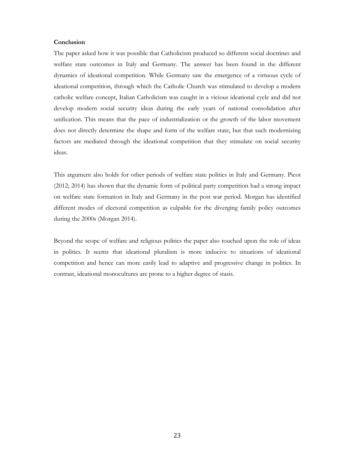### **Conclusion**

The paper asked how it was possible that Catholicism produced so different social doctrines and welfare state outcomes in Italy and Germany. The answer has been found in the different dynamics of ideational competition. While Germany saw the emergence of a virtuous cycle of ideational competition, through which the Catholic Church was stimulated to develop a modern catholic welfare concept, Italian Catholicism was caught in a vicious ideational cycle and did not develop modern social security ideas during the early years of national consolidation after unification. This means that the pace of industrialization or the growth of the labor movement does not directly determine the shape and form of the welfare state, but that such modernizing factors are mediated through the ideational competition that they stimulate on social security ideas.

This argument also holds for other periods of welfare state politics in Italy and Germany. Picot (2012; 2014) has shown that the dynamic form of political party competition had a strong impact on welfare state formation in Italy and Germany in the post war period. Morgan has identified different modes of electoral competition as culpable for the diverging family policy outcomes during the 2000s (Morgan 2014).

Beyond the scope of welfare and religious politics the paper also touched upon the role of ideas in politics. It seems that ideational pluralism is more inducive to situations of ideational competition and hence can more easily lead to adaptive and progressive change in politics. In contrast, ideational monocultures are prone to a higher degree of stasis.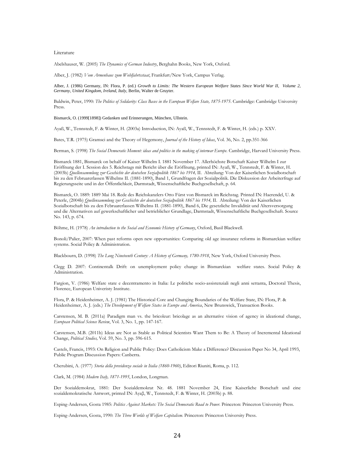### Literature

Abelshauser, W. (2005) *The Dynamics of German Industry*, Berghahn Books, New York, Oxford.

Alber, J. (1982) *Vom Armenhaus zum Wohlfahrtsstaat*, Frankfurt/New York, Campus Verlag.

Alber, J. (1986) Germany, IN: Flora, P. (ed.) *Growth to Limits: The Western European Welfare States Since World War II, Volume 2*, *Germany, United Kingdom, Ireland, Italy,* Berlin, Walter de Gruyter.

Baldwin, Peter, 1990: *The Politics of Solidarity: Class Bases in the European Welfare State, 1875-1975*. Cambridge: Cambridge University Press.

Bismarck, O. (1999[1898]) Gedanken und Erinnerungen, München, Ullstein.

Ayaß, W., Tennstedt, F. & Winter, H. (2003a) Introduction, IN: Ayaß, W., Tennstedt, F. & Winter, H. (eds.) p. XXV.

Bates, T.R. (1975) Gramsci and the Theory of Hegemony, *Journal of the History of Ideas*, Vol. 36, No. 2, pp.351-366

Berman, S. (1998) *The Social Democratic Moment: ideas and politics in the making of interwar Europe.* Cambridge, Harvard University Press.

Bismarck 1881, Bismarck on behalf of Kaiser Wilhelm I. 1881 November 17. Allerhöchste Botschaft Kaiser Wilhelm I zur Eröffnung der I. Session des 5. Reichstags mit Bericht über die Eröffnung, printed IN: Ayaß, W., Tennstedt, F. & Winter, H. (2003b) *Quellensammlung zur Geschichte der deutschen Sozialpolitik 1867 bis 1914,* II. Abteilung: Von der Kaiserlichen Sozialbotschaft bis zu den Februarerlassen Wilhelms II. (1881-1890), Band 1, Grundfragen der Sozialpolitik. Die Diskussion der Arbeiterfrage auf Regierungsseite und in der Öffentlichkeit, Darmstadt, Wissenschaftliche Buchgesellschaft, p. 64.

Bismarck, O. 1889: 1889 Mai 18. Rede des Reichskanzlers Otto Fürst von Bismarck im Reichstag. Printed IN: Haerendel, U. & Peterle, (2004b) *Quellensammlung zur Geschichte der deutschen Sozialpolitik 1867 bis 1914*, II. Abteilung: Von der Kaiserlichen Sozialbotschaft bis zu den Februarerlassen Wilhelms II. (1881-1890), Band 6, Die gesetzliche Invalidität und Altersversorgung und die Alternativen auf gewerkschaftlicher und betrieblicher Grundlage, Darmstadt, Wissenschaftliche Buchgesellschaft. Source No. 143, p. 674.

Böhme, H. (1978) *An introduction to the Social and Economic History of Germany*, Oxford, Basil Blackwell.

Bonoli/Palier, 2007: When past reforms open new opportunities: Comparing old age insurance reforms in Bismarckian welfare systems. Social Policy & Administration.

Blackbourn, D. (1998) *The Long Nineteenth Century: A History of Germany, 1780-1918*, New York, Oxford University Press.

Clegg D. 2007: Continentalk Drift: on unemployment policy change in Bismarckian welfare states. Social Policy & Administration.

Fargion, V. (1986) Welfare state e decentramento in Italia: Le politiche socio-assistenziali negli anni settanta, Doctoral Thesis, Florence, European Univeristy Institute.

Flora, P. & Heidenheimer, A. J. (1981) The Historical Core and Changing Boundaries of the Welfare State, IN: Flora, P. & Heidenheimer, A. J. (eds.) *The Development of Welfare States in Europe and America*, New Brunswick, Transaction Books.

Carstensen, M. B. (2011a) Paradigm man vs. the bricoleur: bricolage as an alternative vision of agency in ideational change, *European Political Science Review*, Vol. 3, No. 1, pp. 147-167.

Carstensen, M.B. (2011b) Ideas are Not as Stable as Political Scientists Want Them to Be: A Theory of Incremental Ideational Change, *Political Studies,* Vol. 59, No. 3, pp. 596-615.

Castels, Francis, 1993: On Religion and Public Policy: Does Catholicism Make a Difference? Discussion Paper No 34, April 1993, Public Program Discussion Papers: Canberra.

Cherubini, A. (1977) *Storia della previdenza sociale in Italia (1860-1960)*, Editori Riuniti, Roma, p. 112.

Clark, M. (1984) *Modern Italy, 1871-1995*, London, Longman.

Der Sozialdemokrat, 1881: Der Sozialdemokrat Nr. 48. 1881 November 24, Eine Kaiserliche Botschaft und eine sozialdemokratische Antwort, printed IN: Ayaβ, W., Tennstedt, F. & Winter, H. (2003b) p. 88.

Esping-Andersen, Gosta 1985: *Politics Against Markets: The Social Democratic Road to Power.* Princeton: Princeton University Press.

Esping-Andersen, Gosta, 1990: *The Three Worlds of Welfare Capitalism*. Princeton: Princeton University Press.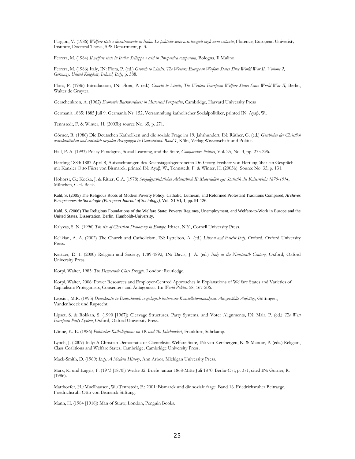Fargion, V. (1986) *Welfare state e decentramento in Italia: Le politiche socio-assistenziali negli anni settanta*, Florence, European Univeristy Institute, Doctoral Thesis, SPS Department, p. 3.

Ferrera, M. (1984) *Il welfare state in Italia: Sviluppo e crisi in Prospettiva comparata*, Bologna, Il Mulino.

Ferrera, M. (1986) Italy, IN: Flora, P. (ed.) *Growth to Limits: The Western European Welfare States Since World War II, Volume 2, Germany, United Kingdom, Ireland, Italy*, p. 388.

Flora, P. (1986) Introduction, IN: Flora, P. (ed.) *Growth to Limits, The Western European Welfare States Since World War II,* Berlin, Walter de Gruyter.

Gerschenkron, A. (1962) *Economic Backwardness in Historical Perspective*, Cambridge, Harvard University Press

Germania 1885: 1885 Juli 9. Germania Nr. 152, Versammlung katholischer Sozialpolitiker, printed IN: Ayaβ, W.,

Tennstedt, F. & Winter, H. (2003b) source No. 65, p. 271.

Görner, R. (1986) Die Deutschen Katholiken und die soziale Frage im 19. Jahrhundert, IN: Rüther, G. (ed.) *Geschichte der Christlich demokratischen und christlich sozialen Bewegungen in Deutschland. Band 1*, Köln, Verlag Wissenschaft und Politik.

Hall, P. A. (1993) Policy Paradigms, Social Learning, and the State, *Comparative Politics*, Vol. 25, No. 3, pp. 275-296.

Hertling 1883: 1883 April 8, Aufzeichnungen des Reichstagsabgeordneten Dr. Georg Freiherr von Hertling über ein Gespräch mit Kanzler Otto Fürst von Bismarck, printed IN: Ayaβ, W., Tennstedt, F. & Winter, H. (2003b) Source No. 35, p. 131.

Hohorst, G.; Kocka, J. & Ritter, G.A. (1978) *Sozialgeschichtliches Arbeitsbuch II: Materialien zur Statistik des Kaiserreichs 1870-1914*, München, C.H. Beck.

Kahl, S. (2005) The Religious Roots of Modern Poverty Policy: Catholic, Lutheran, and Reformed Protestant Traditions Compared, *Archives Européennes de Sociologie (European Journal of Sociology)*, Vol. XLVI, 1, pp. 91-126.

Kahl, S. (2006) The Religious Foundations of the Welfare State: Poverty Regimes, Unemployment, and Welfare-to-Work in Europe and the United States, Dissertation, Berlin, Humboldt-University.

Kalyvas, S. N. (1996) *The rise of Christian Democracy in Europe,* Ithaca, N.Y., Cornell University Press.

Kelikian, A. A. (2002) The Church and Catholicism, IN: Lyttelton, A. (ed.) *Liberal and Fascist Italy*, Oxford, Oxford University Press.

Kertzer, D. I. (2000) Religion and Society, 1789-1892, IN: Davis, J. A. (ed.) *Italy in the Nineteenth Century*, Oxford, Oxford University Press.

Korpi, Walter, 1983: *The Democratic Class Struggle*. London: Routledge.

Korpi, Walter, 2006: Power Resources and Employer-Centred Approaches in Explanations of Welfare States and Varieties of Capitalism: Protagonists, Consenters and Antagonists. In: *World Politics* 58, 167-206.

Lepsius, M.R. (1993) *Demokratie in Deutschland: soziologisch-historische Konstellationsanalysen. Ausgewählte Aufsätze*, Göttingen, Vandenhoeck und Ruprecht.

Lipset, S. & Rokkan, S. (1990 [1967]) Cleavage Structures, Party Systems, and Voter Alignments, IN: Mair, P. (ed.) *The West European Party System*, Oxford, Oxford University Press.

Lönne, K.-E. (1986) *Politischer Katholizismus im 19. und 20. Jahrhundert*, Frankfurt, Suhrkamp.

Lynch, J. (2009) Italy: A Christian Democratic or Clientelistic Welfare State, IN: van Kersbergen, K. & Manow, P. (eds.) Religion, Class Coalitions and Welfare States, Cambridge, Cambridge University Press.

Mack-Smith, D. (1969) *Italy: A Modern History*, Ann Arbor, Michigan University Press.

Marx, K. und Engels, F. (1973 [1870]) Werke 32: Briefe Januar 1868-Mitte Juli 1870, Berlin-Ost, p. 371, cited IN: Görner, R. (1986).

Matthoefer, H./Muellhausen, W./Tennstedt, F.; 2001: Bismarck und die soziale frage. Band 16. Friedrichsruher Beitraege. Friedrichsruh: Otto von Bismarck Stiftung.

Mann, H. (1984 [1918]) Man of Straw, London, Penguin Books.